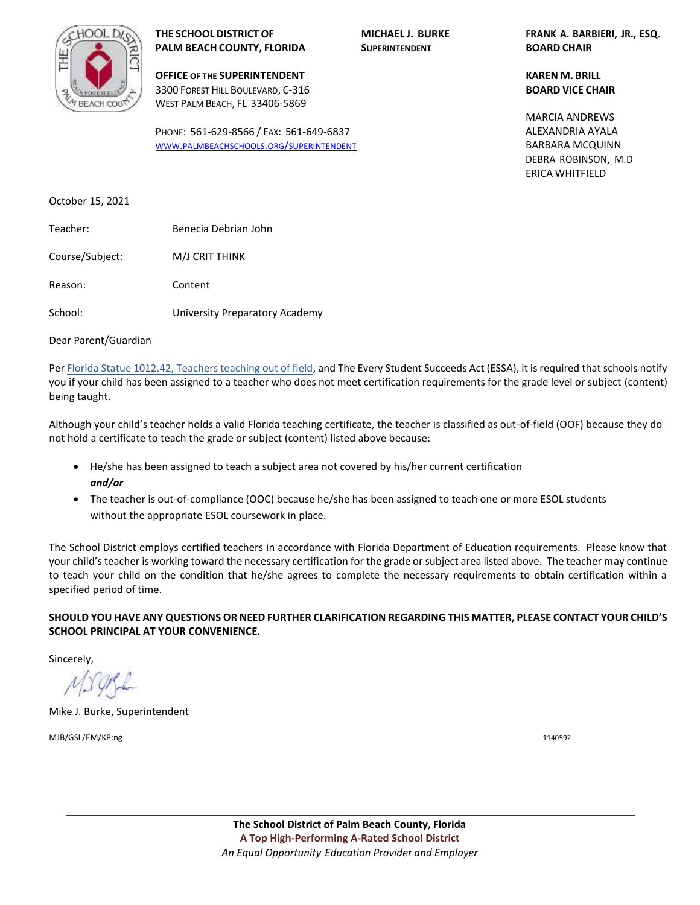

**THE SCHOOL DISTRICT OF MICHAEL J. BURKE FRANK A. BARBIERI, JR., ESQ. PALM BEACH COUNTY, FLORIDA SUPERINTENDENT BOARD CHAIR**

**OFFICE OF THE SUPERINTENDENT KAREN M. BRILL** 3300 FOREST HILL BOULEVARD, C-316 **BOARD VICE CHAIR** WEST PALM BEACH, FL 33406-5869

PHONE: 561-629-8566 / FAX: 561-649-6837 WWW.[PALMBEACHSCHOOLS](http://www.palmbeachschools.org/superintendent).ORG/SUPERINTENDENT

BARBARA MCQUINN DEBRA ROBINSON, M.D ERICA WHITFIELD MARCIA ANDREWS ALEXANDRIA AYALA

October 15, 2021

| Teacher:        | Benecia Debrian John           |
|-----------------|--------------------------------|
| Course/Subject: | M/J CRIT THINK                 |
| Reason:         | Content                        |
| School:         | University Preparatory Academy |

Dear Parent/Guardian

Per Florida Statue 1012.42, Teachers teaching out of field, and The Every Student Succeeds Act (ESSA), it is required that schools notify you if your child has been assigned to a teacher who does not meet certification requirements for the grade level or subject (content) being taught.

Although your child's teacher holds a valid Florida teaching certificate, the teacher is classified as out-of-field (OOF) because they do not hold a certificate to teach the grade or subject (content) listed above because:

- He/she has been assigned to teach a subject area not covered by his/her current certification *and/or*
- The teacher is out-of-compliance (OOC) because he/she has been assigned to teach one or more ESOL students without the appropriate ESOL coursework in place.

The School District employs certified teachers in accordance with Florida Department of Education requirements. Please know that your child's teacher is working toward the necessary certification for the grade or subject area listed above. The teacher may continue to teach your child on the condition that he/she agrees to complete the necessary requirements to obtain certification within a specified period of time.

**SHOULD YOU HAVE ANY QUESTIONS OR NEED FURTHER CLARIFICATION REGARDING THIS MATTER, PLEASE CONTACT YOUR CHILD'S SCHOOL PRINCIPAL AT YOUR CONVENIENCE.** 

Sincerely,

Mike J. Burke, Superintendent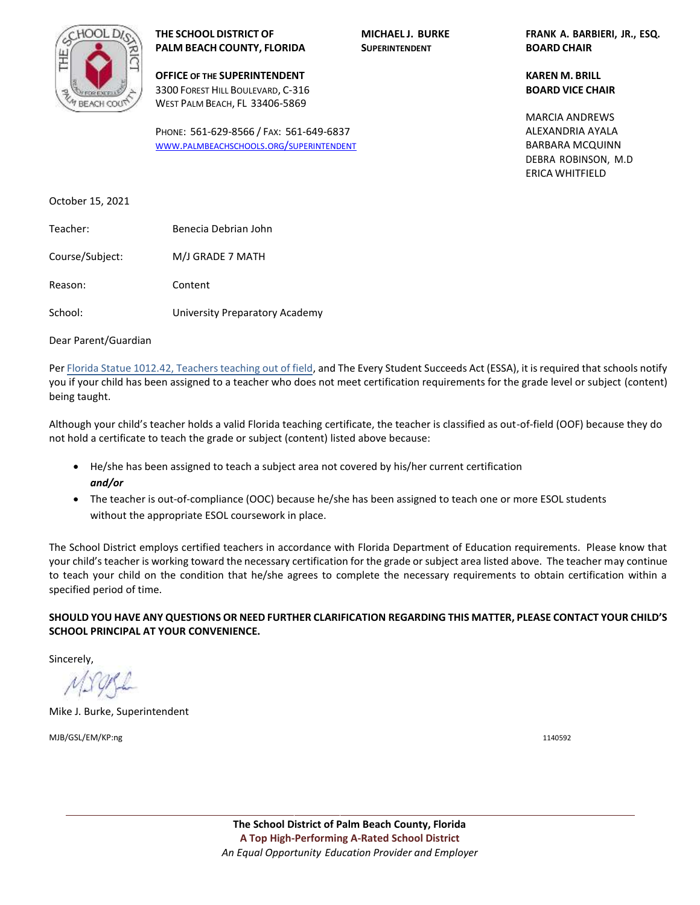

**OFFICE OF THE SUPERINTENDENT KAREN M. BRILL** 3300 FOREST HILL BOULEVARD, C-316 **BOARD VICE CHAIR** WEST PALM BEACH, FL 33406-5869

PHONE: 561-629-8566 / FAX: 561-649-6837 WWW.[PALMBEACHSCHOOLS](http://www.palmbeachschools.org/superintendent).ORG/SUPERINTENDENT

**THE SCHOOL DISTRICT OF MICHAEL J. BURKE FRANK A. BARBIERI, JR., ESQ.**

BARBARA MCQUINN DEBRA ROBINSON, M.D ERICA WHITFIELD MARCIA ANDREWS ALEXANDRIA AYALA

October 15, 2021

| Teacher:        | Benecia Debrian John |
|-----------------|----------------------|
| Course/Subject: | M/J GRADE 7 MATH     |
| Reason:         | Content              |

School: University Preparatory Academy

Dear Parent/Guardian

Per Florida Statue 1012.42, Teachers teaching out of field, and The Every Student Succeeds Act (ESSA), it is required that schools notify you if your child has been assigned to a teacher who does not meet certification requirements for the grade level or subject (content) being taught.

Although your child's teacher holds a valid Florida teaching certificate, the teacher is classified as out-of-field (OOF) because they do not hold a certificate to teach the grade or subject (content) listed above because:

- He/she has been assigned to teach a subject area not covered by his/her current certification *and/or*
- The teacher is out-of-compliance (OOC) because he/she has been assigned to teach one or more ESOL students without the appropriate ESOL coursework in place.

The School District employs certified teachers in accordance with Florida Department of Education requirements. Please know that your child's teacher is working toward the necessary certification for the grade or subject area listed above. The teacher may continue to teach your child on the condition that he/she agrees to complete the necessary requirements to obtain certification within a specified period of time.

**SHOULD YOU HAVE ANY QUESTIONS OR NEED FURTHER CLARIFICATION REGARDING THIS MATTER, PLEASE CONTACT YOUR CHILD'S SCHOOL PRINCIPAL AT YOUR CONVENIENCE.** 

Sincerely,

Mike J. Burke, Superintendent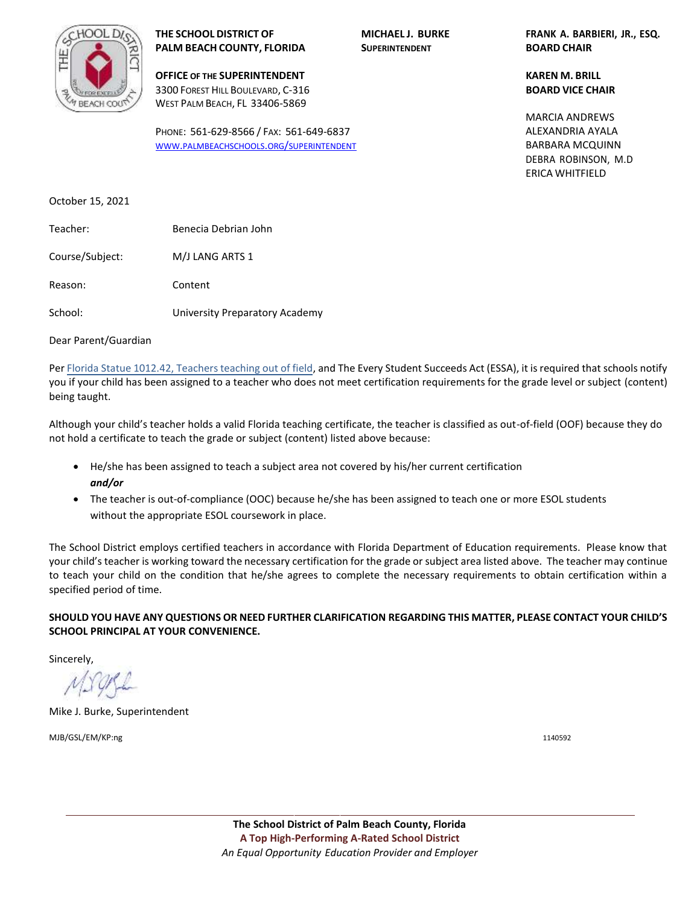

**OFFICE OF THE SUPERINTENDENT KAREN M. BRILL** 3300 FOREST HILL BOULEVARD, C-316 **BOARD VICE CHAIR** WEST PALM BEACH, FL 33406-5869

PHONE: 561-629-8566 / FAX: 561-649-6837 WWW.[PALMBEACHSCHOOLS](http://www.palmbeachschools.org/superintendent).ORG/SUPERINTENDENT

**THE SCHOOL DISTRICT OF MICHAEL J. BURKE FRANK A. BARBIERI, JR., ESQ.**

BARBARA MCQUINN DEBRA ROBINSON, M.D ERICA WHITFIELD MARCIA ANDREWS ALEXANDRIA AYALA

October 15, 2021

| Teacher:        | Benecia Debrian John           |
|-----------------|--------------------------------|
| Course/Subject: | M/J LANG ARTS 1                |
| Reason:         | Content                        |
| School:         | University Preparatory Academy |

Dear Parent/Guardian

Per Florida Statue 1012.42, Teachers teaching out of field, and The Every Student Succeeds Act (ESSA), it is required that schools notify you if your child has been assigned to a teacher who does not meet certification requirements for the grade level or subject (content) being taught.

Although your child's teacher holds a valid Florida teaching certificate, the teacher is classified as out-of-field (OOF) because they do not hold a certificate to teach the grade or subject (content) listed above because:

- He/she has been assigned to teach a subject area not covered by his/her current certification *and/or*
- The teacher is out-of-compliance (OOC) because he/she has been assigned to teach one or more ESOL students without the appropriate ESOL coursework in place.

The School District employs certified teachers in accordance with Florida Department of Education requirements. Please know that your child's teacher is working toward the necessary certification for the grade or subject area listed above. The teacher may continue to teach your child on the condition that he/she agrees to complete the necessary requirements to obtain certification within a specified period of time.

**SHOULD YOU HAVE ANY QUESTIONS OR NEED FURTHER CLARIFICATION REGARDING THIS MATTER, PLEASE CONTACT YOUR CHILD'S SCHOOL PRINCIPAL AT YOUR CONVENIENCE.** 

Sincerely,

Mike J. Burke, Superintendent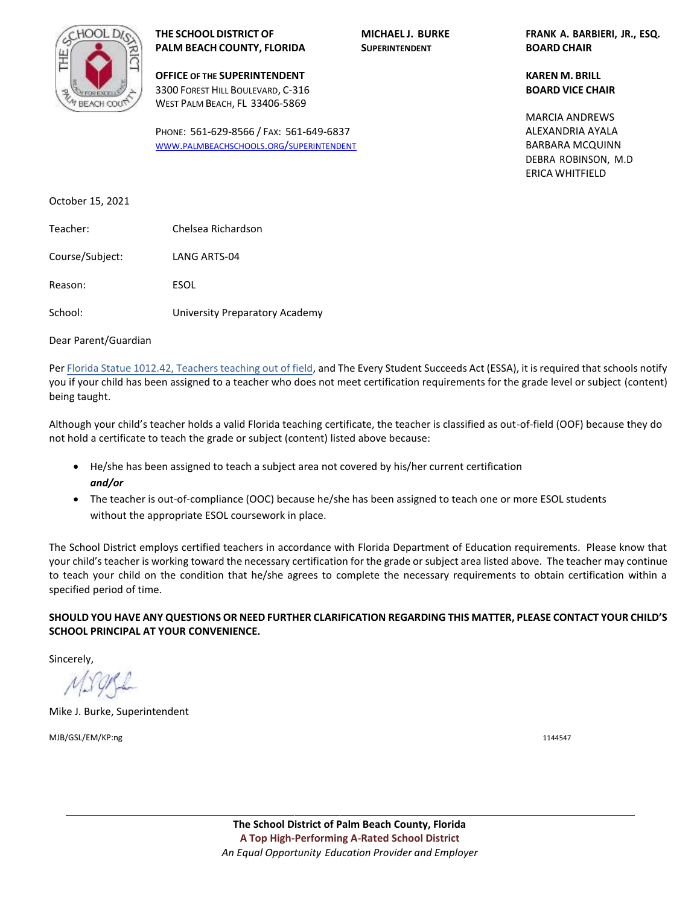

**OFFICE OF THE SUPERINTENDENT KAREN M. BRILL** 3300 FOREST HILL BOULEVARD, C-316 **BOARD VICE CHAIR** WEST PALM BEACH, FL 33406-5869

PHONE: 561-629-8566 / FAX: 561-649-6837 WWW.[PALMBEACHSCHOOLS](http://www.palmbeachschools.org/superintendent).ORG/SUPERINTENDENT

**THE SCHOOL DISTRICT OF MICHAEL J. BURKE FRANK A. BARBIERI, JR., ESQ.**

BARBARA MCQUINN DEBRA ROBINSON, M.D ERICA WHITFIELD MARCIA ANDREWS ALEXANDRIA AYALA

October 15, 2021

| Teacher:        | Chelsea Richardson             |
|-----------------|--------------------------------|
| Course/Subject: | LANG ARTS-04                   |
| Reason:         | ESOL                           |
| School:         | University Preparatory Academy |

Dear Parent/Guardian

Per Florida Statue 1012.42, Teachers teaching out of field, and The Every Student Succeeds Act (ESSA), it is required that schools notify you if your child has been assigned to a teacher who does not meet certification requirements for the grade level or subject (content) being taught.

Although your child's teacher holds a valid Florida teaching certificate, the teacher is classified as out-of-field (OOF) because they do not hold a certificate to teach the grade or subject (content) listed above because:

- He/she has been assigned to teach a subject area not covered by his/her current certification *and/or*
- The teacher is out-of-compliance (OOC) because he/she has been assigned to teach one or more ESOL students without the appropriate ESOL coursework in place.

The School District employs certified teachers in accordance with Florida Department of Education requirements. Please know that your child's teacher is working toward the necessary certification for the grade or subject area listed above. The teacher may continue to teach your child on the condition that he/she agrees to complete the necessary requirements to obtain certification within a specified period of time.

**SHOULD YOU HAVE ANY QUESTIONS OR NEED FURTHER CLARIFICATION REGARDING THIS MATTER, PLEASE CONTACT YOUR CHILD'S SCHOOL PRINCIPAL AT YOUR CONVENIENCE.** 

Sincerely,

Mike J. Burke, Superintendent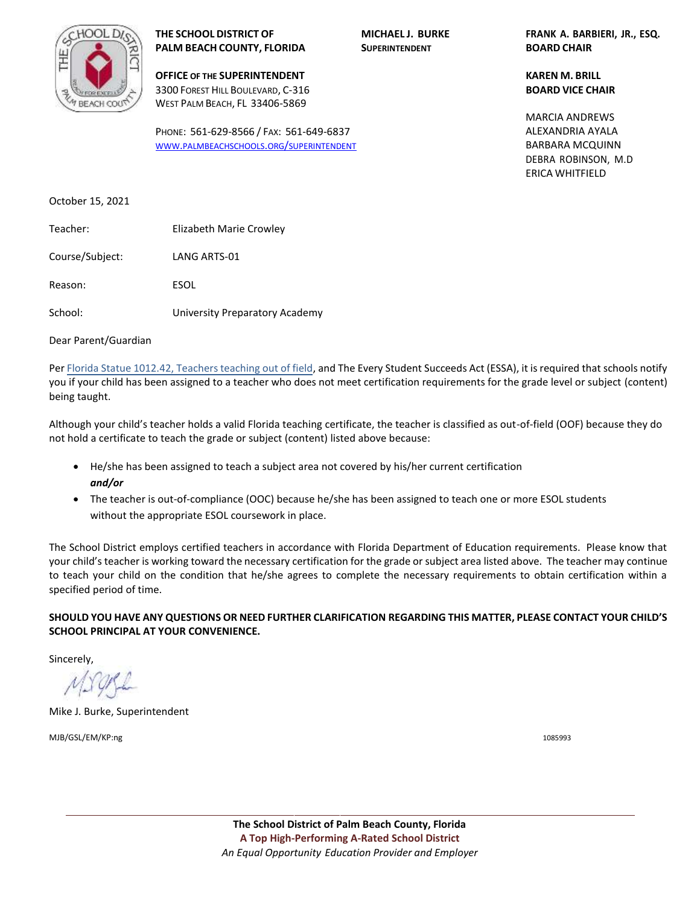

**OFFICE OF THE SUPERINTENDENT KAREN M. BRILL** 3300 FOREST HILL BOULEVARD, C-316 **BOARD VICE CHAIR** WEST PALM BEACH, FL 33406-5869

PHONE: 561-629-8566 / FAX: 561-649-6837 WWW.[PALMBEACHSCHOOLS](http://www.palmbeachschools.org/superintendent).ORG/SUPERINTENDENT

**THE SCHOOL DISTRICT OF MICHAEL J. BURKE FRANK A. BARBIERI, JR., ESQ.**

BARBARA MCQUINN DEBRA ROBINSON, M.D ERICA WHITFIELD MARCIA ANDREWS ALEXANDRIA AYALA

October 15, 2021

| Teacher:        | Elizabeth Marie Crowley        |
|-----------------|--------------------------------|
| Course/Subject: | LANG ARTS-01                   |
| Reason:         | ESOL                           |
| School:         | University Preparatory Academy |

Dear Parent/Guardian

Per Florida Statue 1012.42, Teachers teaching out of field, and The Every Student Succeeds Act (ESSA), it is required that schools notify you if your child has been assigned to a teacher who does not meet certification requirements for the grade level or subject (content) being taught.

Although your child's teacher holds a valid Florida teaching certificate, the teacher is classified as out-of-field (OOF) because they do not hold a certificate to teach the grade or subject (content) listed above because:

- He/she has been assigned to teach a subject area not covered by his/her current certification *and/or*
- The teacher is out-of-compliance (OOC) because he/she has been assigned to teach one or more ESOL students without the appropriate ESOL coursework in place.

The School District employs certified teachers in accordance with Florida Department of Education requirements. Please know that your child's teacher is working toward the necessary certification for the grade or subject area listed above. The teacher may continue to teach your child on the condition that he/she agrees to complete the necessary requirements to obtain certification within a specified period of time.

**SHOULD YOU HAVE ANY QUESTIONS OR NEED FURTHER CLARIFICATION REGARDING THIS MATTER, PLEASE CONTACT YOUR CHILD'S SCHOOL PRINCIPAL AT YOUR CONVENIENCE.** 

Sincerely,

Mike J. Burke, Superintendent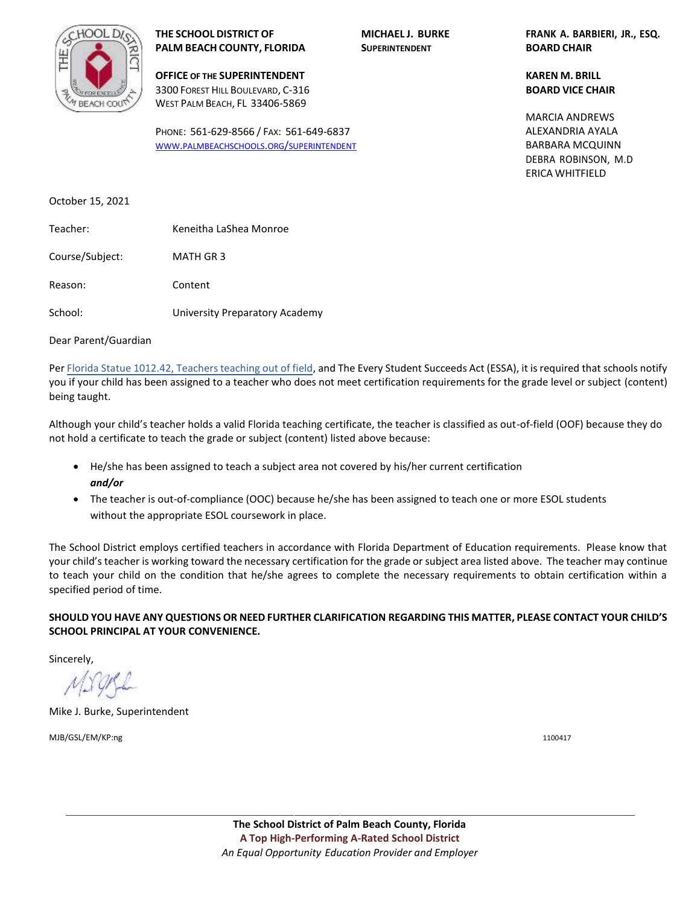

**THE SCHOOL DISTRICT OF MICHAEL J. BURKE FRANK A. BARBIERI, JR., ESQ. PALM BEACH COUNTY, FLORIDA SUPERINTENDENT BOARD CHAIR**

**OFFICE OF THE SUPERINTENDENT KAREN M. BRILL** 3300 FOREST HILL BOULEVARD, C-316 **BOARD VICE CHAIR** WEST PALM BEACH, FL 33406-5869

PHONE: 561-629-8566 / FAX: 561-649-6837 WWW.[PALMBEACHSCHOOLS](http://www.palmbeachschools.org/superintendent).ORG/SUPERINTENDENT

BARBARA MCQUINN DEBRA ROBINSON, M.D ERICA WHITFIELD MARCIA ANDREWS ALEXANDRIA AYALA

October 15, 2021

| Teacher:        | Keneitha LaShea Monroe         |
|-----------------|--------------------------------|
| Course/Subject: | MATH GR 3                      |
| Reason:         | Content                        |
| School:         | University Preparatory Academy |

Dear Parent/Guardian

Per Florida Statue 1012.42, Teachers teaching out of field, and The Every Student Succeeds Act (ESSA), it is required that schools notify you if your child has been assigned to a teacher who does not meet certification requirements for the grade level or subject (content) being taught.

Although your child's teacher holds a valid Florida teaching certificate, the teacher is classified as out-of-field (OOF) because they do not hold a certificate to teach the grade or subject (content) listed above because:

- He/she has been assigned to teach a subject area not covered by his/her current certification *and/or*
- The teacher is out-of-compliance (OOC) because he/she has been assigned to teach one or more ESOL students without the appropriate ESOL coursework in place.

The School District employs certified teachers in accordance with Florida Department of Education requirements. Please know that your child's teacher is working toward the necessary certification for the grade or subject area listed above. The teacher may continue to teach your child on the condition that he/she agrees to complete the necessary requirements to obtain certification within a specified period of time.

**SHOULD YOU HAVE ANY QUESTIONS OR NEED FURTHER CLARIFICATION REGARDING THIS MATTER, PLEASE CONTACT YOUR CHILD'S SCHOOL PRINCIPAL AT YOUR CONVENIENCE.** 

Sincerely,

Mike J. Burke, Superintendent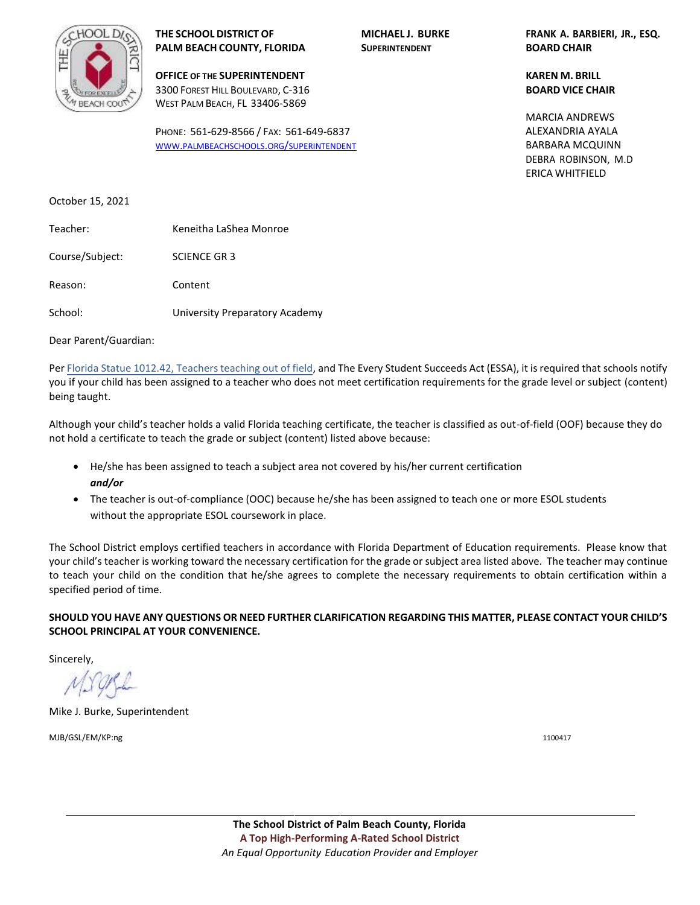

**OFFICE OF THE SUPERINTENDENT KAREN M. BRILL** 3300 FOREST HILL BOULEVARD, C-316 **BOARD VICE CHAIR** WEST PALM BEACH, FL 33406-5869

PHONE: 561-629-8566 / FAX: 561-649-6837 WWW.[PALMBEACHSCHOOLS](http://www.palmbeachschools.org/superintendent).ORG/SUPERINTENDENT

**THE SCHOOL DISTRICT OF MICHAEL J. BURKE FRANK A. BARBIERI, JR., ESQ.**

BARBARA MCQUINN DEBRA ROBINSON, M.D ERICA WHITFIELD MARCIA ANDREWS ALEXANDRIA AYALA

October 15, 2021

| Teacher:        | Keneitha LaShea Monroe         |
|-----------------|--------------------------------|
| Course/Subject: | <b>SCIENCE GR3</b>             |
| Reason:         | Content                        |
| School:         | University Preparatory Academy |

Dear Parent/Guardian:

Per Florida Statue 1012.42, Teachers teaching out of field, and The Every Student Succeeds Act (ESSA), it is required that schools notify you if your child has been assigned to a teacher who does not meet certification requirements for the grade level or subject (content) being taught.

Although your child's teacher holds a valid Florida teaching certificate, the teacher is classified as out-of-field (OOF) because they do not hold a certificate to teach the grade or subject (content) listed above because:

- He/she has been assigned to teach a subject area not covered by his/her current certification *and/or*
- The teacher is out-of-compliance (OOC) because he/she has been assigned to teach one or more ESOL students without the appropriate ESOL coursework in place.

The School District employs certified teachers in accordance with Florida Department of Education requirements. Please know that your child's teacher is working toward the necessary certification for the grade or subject area listed above. The teacher may continue to teach your child on the condition that he/she agrees to complete the necessary requirements to obtain certification within a specified period of time.

**SHOULD YOU HAVE ANY QUESTIONS OR NEED FURTHER CLARIFICATION REGARDING THIS MATTER, PLEASE CONTACT YOUR CHILD'S SCHOOL PRINCIPAL AT YOUR CONVENIENCE.** 

Sincerely,

Mike J. Burke, Superintendent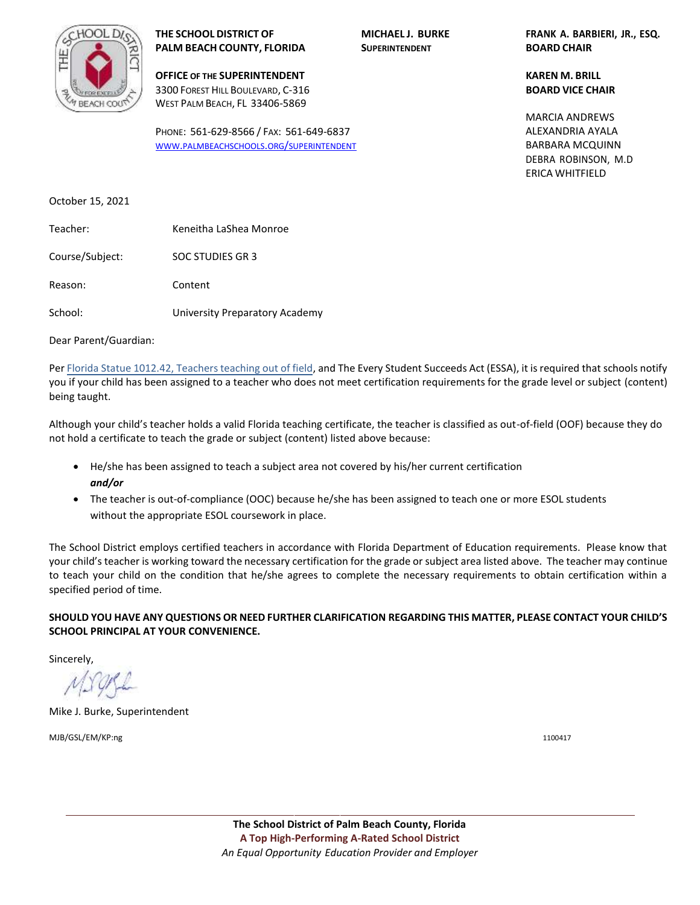

**THE SCHOOL DISTRICT OF MICHAEL J. BURKE FRANK A. BARBIERI, JR., ESQ. PALM BEACH COUNTY, FLORIDA SUPERINTENDENT BOARD CHAIR**

**OFFICE OF THE SUPERINTENDENT KAREN M. BRILL** 3300 FOREST HILL BOULEVARD, C-316 **BOARD VICE CHAIR** WEST PALM BEACH, FL 33406-5869

PHONE: 561-629-8566 / FAX: 561-649-6837 WWW.[PALMBEACHSCHOOLS](http://www.palmbeachschools.org/superintendent).ORG/SUPERINTENDENT

BARBARA MCQUINN DEBRA ROBINSON, M.D ERICA WHITFIELD MARCIA ANDREWS ALEXANDRIA AYALA

October 15, 2021

| Teacher:        | Keneitha LaShea Monroe         |
|-----------------|--------------------------------|
| Course/Subject: | SOC STUDIES GR 3               |
| Reason:         | Content                        |
| School:         | University Preparatory Academy |

Dear Parent/Guardian:

Per Florida Statue 1012.42, Teachers teaching out of field, and The Every Student Succeeds Act (ESSA), it is required that schools notify you if your child has been assigned to a teacher who does not meet certification requirements for the grade level or subject (content) being taught.

Although your child's teacher holds a valid Florida teaching certificate, the teacher is classified as out-of-field (OOF) because they do not hold a certificate to teach the grade or subject (content) listed above because:

- He/she has been assigned to teach a subject area not covered by his/her current certification *and/or*
- The teacher is out-of-compliance (OOC) because he/she has been assigned to teach one or more ESOL students without the appropriate ESOL coursework in place.

The School District employs certified teachers in accordance with Florida Department of Education requirements. Please know that your child's teacher is working toward the necessary certification for the grade or subject area listed above. The teacher may continue to teach your child on the condition that he/she agrees to complete the necessary requirements to obtain certification within a specified period of time.

**SHOULD YOU HAVE ANY QUESTIONS OR NEED FURTHER CLARIFICATION REGARDING THIS MATTER, PLEASE CONTACT YOUR CHILD'S SCHOOL PRINCIPAL AT YOUR CONVENIENCE.** 

Sincerely,

Mike J. Burke, Superintendent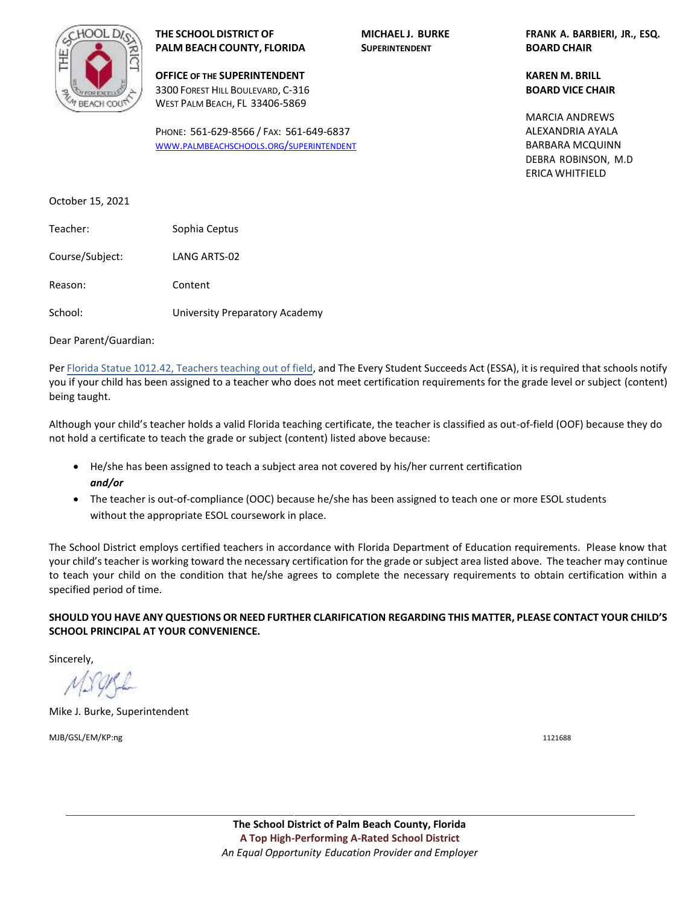

**OFFICE OF THE SUPERINTENDENT KAREN M. BRILL** 3300 FOREST HILL BOULEVARD, C-316 **BOARD VICE CHAIR** WEST PALM BEACH, FL 33406-5869

PHONE: 561-629-8566 / FAX: 561-649-6837 WWW.[PALMBEACHSCHOOLS](http://www.palmbeachschools.org/superintendent).ORG/SUPERINTENDENT

**THE SCHOOL DISTRICT OF MICHAEL J. BURKE FRANK A. BARBIERI, JR., ESQ.**

BARBARA MCQUINN DEBRA ROBINSON, M.D ERICA WHITFIELD MARCIA ANDREWS ALEXANDRIA AYALA

October 15, 2021

Teacher: Sophia Ceptus Course/Subject: LANG ARTS-02 Reason: Content School: University Preparatory Academy

Dear Parent/Guardian:

Per Florida Statue 1012.42, Teachers teaching out of field, and The Every Student Succeeds Act (ESSA), it is required that schools notify you if your child has been assigned to a teacher who does not meet certification requirements for the grade level or subject (content) being taught.

Although your child's teacher holds a valid Florida teaching certificate, the teacher is classified as out-of-field (OOF) because they do not hold a certificate to teach the grade or subject (content) listed above because:

- He/she has been assigned to teach a subject area not covered by his/her current certification *and/or*
- The teacher is out-of-compliance (OOC) because he/she has been assigned to teach one or more ESOL students without the appropriate ESOL coursework in place.

The School District employs certified teachers in accordance with Florida Department of Education requirements. Please know that your child's teacher is working toward the necessary certification for the grade or subject area listed above. The teacher may continue to teach your child on the condition that he/she agrees to complete the necessary requirements to obtain certification within a specified period of time.

**SHOULD YOU HAVE ANY QUESTIONS OR NEED FURTHER CLARIFICATION REGARDING THIS MATTER, PLEASE CONTACT YOUR CHILD'S SCHOOL PRINCIPAL AT YOUR CONVENIENCE.** 

Sincerely,

Mike J. Burke, Superintendent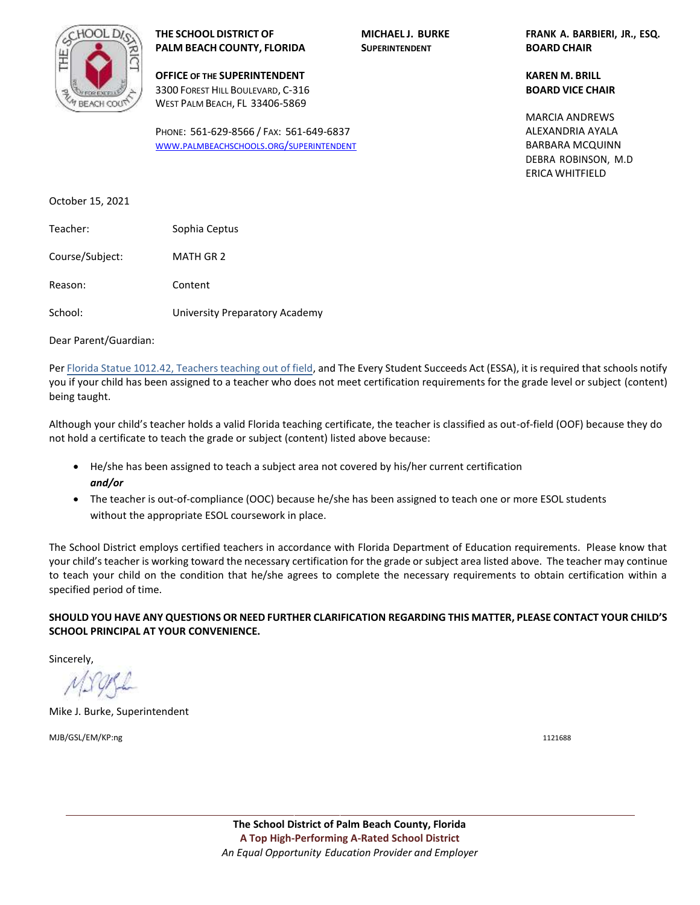

**OFFICE OF THE SUPERINTENDENT KAREN M. BRILL** 3300 FOREST HILL BOULEVARD, C-316 **BOARD VICE CHAIR** WEST PALM BEACH, FL 33406-5869

PHONE: 561-629-8566 / FAX: 561-649-6837 WWW.[PALMBEACHSCHOOLS](http://www.palmbeachschools.org/superintendent).ORG/SUPERINTENDENT

**THE SCHOOL DISTRICT OF MICHAEL J. BURKE FRANK A. BARBIERI, JR., ESQ.**

BARBARA MCQUINN DEBRA ROBINSON, M.D ERICA WHITFIELD MARCIA ANDREWS ALEXANDRIA AYALA

October 15, 2021

| Teacher:        | Sophia Ceptus                  |
|-----------------|--------------------------------|
| Course/Subject: | MATH GR 2                      |
| Reason:         | Content                        |
| School:         | University Preparatory Academy |

Dear Parent/Guardian:

Per Florida Statue 1012.42, Teachers teaching out of field, and The Every Student Succeeds Act (ESSA), it is required that schools notify you if your child has been assigned to a teacher who does not meet certification requirements for the grade level or subject (content) being taught.

Although your child's teacher holds a valid Florida teaching certificate, the teacher is classified as out-of-field (OOF) because they do not hold a certificate to teach the grade or subject (content) listed above because:

- He/she has been assigned to teach a subject area not covered by his/her current certification *and/or*
- The teacher is out-of-compliance (OOC) because he/she has been assigned to teach one or more ESOL students without the appropriate ESOL coursework in place.

The School District employs certified teachers in accordance with Florida Department of Education requirements. Please know that your child's teacher is working toward the necessary certification for the grade or subject area listed above. The teacher may continue to teach your child on the condition that he/she agrees to complete the necessary requirements to obtain certification within a specified period of time.

**SHOULD YOU HAVE ANY QUESTIONS OR NEED FURTHER CLARIFICATION REGARDING THIS MATTER, PLEASE CONTACT YOUR CHILD'S SCHOOL PRINCIPAL AT YOUR CONVENIENCE.** 

Sincerely,

Mike J. Burke, Superintendent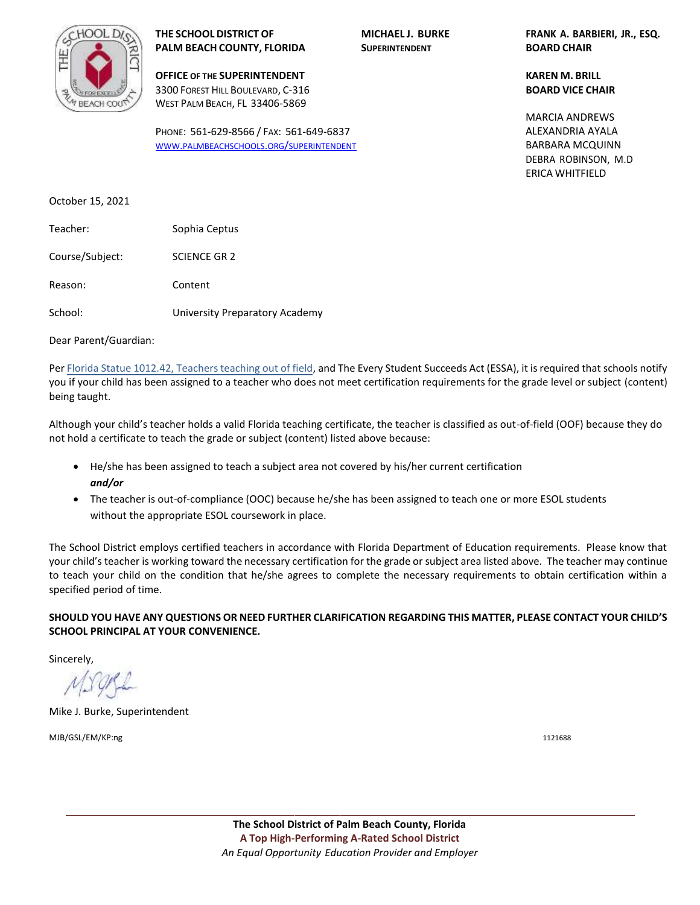

**OFFICE OF THE SUPERINTENDENT KAREN M. BRILL** 3300 FOREST HILL BOULEVARD, C-316 **BOARD VICE CHAIR** WEST PALM BEACH, FL 33406-5869

PHONE: 561-629-8566 / FAX: 561-649-6837 WWW.[PALMBEACHSCHOOLS](http://www.palmbeachschools.org/superintendent).ORG/SUPERINTENDENT

**THE SCHOOL DISTRICT OF MICHAEL J. BURKE FRANK A. BARBIERI, JR., ESQ.**

BARBARA MCQUINN DEBRA ROBINSON, M.D ERICA WHITFIELD MARCIA ANDREWS ALEXANDRIA AYALA

October 15, 2021

| Teacher:        | Sophia Ceptus                  |
|-----------------|--------------------------------|
| Course/Subject: | <b>SCIENCE GR 2</b>            |
| Reason:         | Content                        |
| School:         | University Preparatory Academy |

Dear Parent/Guardian:

Per Florida Statue 1012.42, Teachers teaching out of field, and The Every Student Succeeds Act (ESSA), it is required that schools notify you if your child has been assigned to a teacher who does not meet certification requirements for the grade level or subject (content) being taught.

Although your child's teacher holds a valid Florida teaching certificate, the teacher is classified as out-of-field (OOF) because they do not hold a certificate to teach the grade or subject (content) listed above because:

- He/she has been assigned to teach a subject area not covered by his/her current certification *and/or*
- The teacher is out-of-compliance (OOC) because he/she has been assigned to teach one or more ESOL students without the appropriate ESOL coursework in place.

The School District employs certified teachers in accordance with Florida Department of Education requirements. Please know that your child's teacher is working toward the necessary certification for the grade or subject area listed above. The teacher may continue to teach your child on the condition that he/she agrees to complete the necessary requirements to obtain certification within a specified period of time.

**SHOULD YOU HAVE ANY QUESTIONS OR NEED FURTHER CLARIFICATION REGARDING THIS MATTER, PLEASE CONTACT YOUR CHILD'S SCHOOL PRINCIPAL AT YOUR CONVENIENCE.** 

Sincerely,

Mike J. Burke, Superintendent